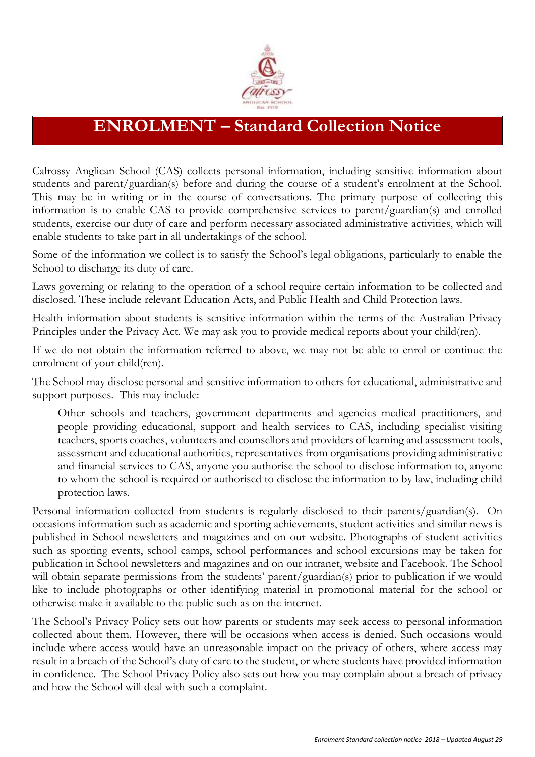

## **ENROLMENT – Standard Collection Notice**

Calrossy Anglican School (CAS) collects personal information, including sensitive information about students and parent/guardian(s) before and during the course of a student's enrolment at the School. This may be in writing or in the course of conversations. The primary purpose of collecting this information is to enable CAS to provide comprehensive services to parent/guardian(s) and enrolled students, exercise our duty of care and perform necessary associated administrative activities, which will enable students to take part in all undertakings of the school.

Some of the information we collect is to satisfy the School's legal obligations, particularly to enable the School to discharge its duty of care.

Laws governing or relating to the operation of a school require certain information to be collected and disclosed. These include relevant Education Acts, and Public Health and Child Protection laws.

Health information about students is sensitive information within the terms of the Australian Privacy Principles under the Privacy Act. We may ask you to provide medical reports about your child(ren).

If we do not obtain the information referred to above, we may not be able to enrol or continue the enrolment of your child(ren).

The School may disclose personal and sensitive information to others for educational, administrative and support purposes. This may include:

Other schools and teachers, government departments and agencies medical practitioners, and people providing educational, support and health services to CAS, including specialist visiting teachers, sports coaches, volunteers and counsellors and providers of learning and assessment tools, assessment and educational authorities, representatives from organisations providing administrative and financial services to CAS, anyone you authorise the school to disclose information to, anyone to whom the school is required or authorised to disclose the information to by law, including child protection laws.

Personal information collected from students is regularly disclosed to their parents/guardian(s). On occasions information such as academic and sporting achievements, student activities and similar news is published in School newsletters and magazines and on our website. Photographs of student activities such as sporting events, school camps, school performances and school excursions may be taken for publication in School newsletters and magazines and on our intranet, website and Facebook. The School will obtain separate permissions from the students' parent/guardian(s) prior to publication if we would like to include photographs or other identifying material in promotional material for the school or otherwise make it available to the public such as on the internet.

The School's Privacy Policy sets out how parents or students may seek access to personal information collected about them. However, there will be occasions when access is denied. Such occasions would include where access would have an unreasonable impact on the privacy of others, where access may result in a breach of the School's duty of care to the student, or where students have provided information in confidence. The School Privacy Policy also sets out how you may complain about a breach of privacy and how the School will deal with such a complaint.